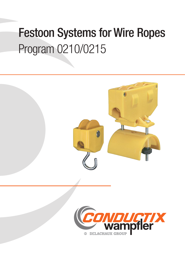# Festoon Systems for Wire Ropes Program 0210/0215

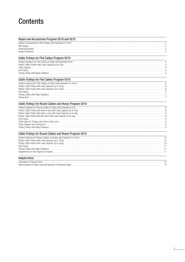## **Contents**

| Ropes and Accessories Program 0210 and 0215            |
|--------------------------------------------------------|
|                                                        |
| Cable Trolleys for Flat Cables Program 0210            |
|                                                        |
| Cable Trolleys for Flat Cables Program 0215            |
|                                                        |
| Cable Trolleys for Round Cables and Hoses Program 0210 |
|                                                        |
| Cable Trolleys for Round Cables and Hoses Program 0215 |
| <b>Helpful Hints</b>                                   |
|                                                        |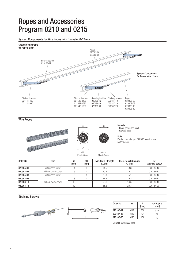### Ropes and Accessories Program 0210 and 0215

#### System Components for Wire Ropes with Diameter 6-12mm



Wire Ropes





with



without

#### ød. **Material**

• Rope: galvanized steel • Cover: plastic

#### **Note**

Plastic covered ropes 020305 have the best performance.

| <b>Plastic Cover</b><br><b>Plastic Cover</b> |                       |            |            |                                      |                                                 |                               |
|----------------------------------------------|-----------------------|------------|------------|--------------------------------------|-------------------------------------------------|-------------------------------|
| Order No.                                    | Type                  | ød<br>[mm] | øD<br>[mm] | Min. Brak. Strength<br>$F_{Br}$ [kN] | Perm. Tensil Strength<br>$F_{\text{zul.}}$ [kN] | for<br><b>Straining Screw</b> |
| 020305-06                                    | with plastic cover    |            | 6          | 14.5                                 | 3.6                                             | 020187-12                     |
| 020303-06                                    | without plastic cover | 6          |            | 20.3                                 | 5.1                                             | 020187-12                     |
| 020305-08                                    | with plastic cover    |            |            | 20.3                                 | 5.1                                             | 020187-12                     |
| 020303-08                                    |                       | 8          |            | 37.2                                 | 9.3                                             | 020187-12                     |
| 020303-10                                    | without plastic cover | 10         |            | 58.1                                 | 14.5                                            | 020187-16                     |
| 020303-12                                    |                       | 12         |            | 81.2                                 | 20.3                                            | 020187-20                     |

#### Straining Screws



| Order No. | ød              | [mm] | for Rope ø<br>[mm] |
|-----------|-----------------|------|--------------------|
| 020187-12 | M <sub>12</sub> | 330  | հ - ጸ              |
| 020187-16 | M <sub>16</sub> | 424  | 10                 |
| 020187-20 | M 20            | 458  | 12                 |

Material: galvanized steel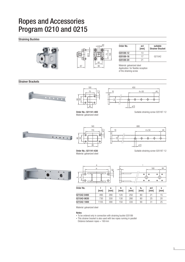### Ropes and Accessories Program 0210 and 0215

Straining Buckles



Material: galvanized steel

#### Notes

• To be ordered only in connection with straining buckle 020189

021542-0400 495 290 120 250 80 21 15 021542-0630 730 330 130 280 80 25 20 021542-1000 | 1105 | 390 | 150 | 330 | 90 | 31 | 25

• This strainer bracket is also used with two ropes running in parallel

Distance between ropes = 160mm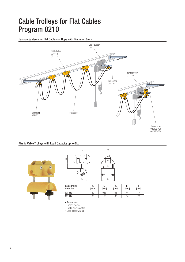## Cable Trolleys for Flat Cables Program 0210

Festoon Systems for Flat Cables on Rope with Diameter 6mm



#### Plastic Cable Trolleys with Load Capacity up to 6 kg



| ۱w<br>$\overline{4}$<br>S | 28<br>h<br>b <sub>2</sub><br>سيس™<br>빽 |
|---------------------------|----------------------------------------|
| $d_a$                     | b,                                     |

| <b>Cable Trolley</b><br>Order No. | $d_a$<br>[mm] | Iw<br>[mm] | b,<br>[mm] | b <sub>2</sub><br>[mm] | [mm] |
|-----------------------------------|---------------|------------|------------|------------------------|------|
| 021113                            | 50            | 085        | 63         | 44                     |      |
| 021114                            | 80            | 125        | 80         | 54                     | つつ   |

<sup>•</sup> Type of roller:

- roller: plastic

- axle: stainless steel

• Load capacity: 6 kg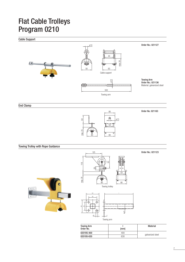## Flat Cable Trolleys Program 0210

Cable Support



End Clamp



Order No. 021163

Order No.: 021123

Towing Trolley with Rope Guidance



ø 9 63 **I I I** 40 40 4 23 Towing arm

63

| <b>Towing Arm</b><br>Order No. | [mm] | Material         |  |
|--------------------------------|------|------------------|--|
| 020195-400                     | 400  |                  |  |
| 020195-630                     | 630  | galvanized steel |  |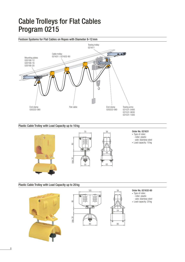## Cable Trolleys for Flat Cables Program 0215

### Festoon Systems for Flat Cables on Ropes with Diameter 8-12mm Towing trolley 021611 Flat cable **The Contract Contract Contract Contract Contract Contract Contract Contract Contract Contract Contract Contract Contract Contract Contract Contract Contract Contract Contract Contract Contract Contract Contract** Towing arms<br>021531-0400 021531-0630 021531-1000 End clamp 020222-080 Cable trolley 021631 / 021632-80 Mounting plates 020190-12 020190-16 020190-20 020222-080

### Plastic Cable Trolley with Load Capacity up to 10 kg





38

44

38

 $54$ 

 $80$ 

#### Order No. 021631

- Type of roller: - roller: plastic
	- axle: stainless steel
- Load capacity: 10 kg

#### Plastic Cable Trolley with Load Capacity up to 20 kg





#### Order No. 021632-80

- Type of roller:
- roller: plastic
- axle: stainless steel • Load capacity: 20 kg
-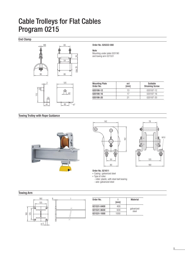## Cable Trolleys for Flat Cables Program 0215

30

max. 25

End Clamp





Order No. 020222-080

Note Mounting under plate 020190 and towing arm 021531

| <b>Mounting Plate</b><br>Order No. | ød<br>[mm] | Suitable<br><b>Straining Screw</b> |
|------------------------------------|------------|------------------------------------|
| 020190-12                          | 13         | 020187-12                          |
| 020190-16                          | 17         | 020187-16                          |
| 020190-20                          |            | 020187-20                          |

Towing Trolley with Rope Guidance







Order No. 021611

• Casing:: galvanized steel

• Type of roller:

- roller: plastic, with steel ball bearing

- axle: galvanized steel

#### Towing Arm



| Order No.   | [mm] | <b>Material</b>     |  |
|-------------|------|---------------------|--|
| 021531-0400 | 400  |                     |  |
| 021531-0630 | 630  | galvanized<br>steel |  |
| 021531-1000 | 1000 |                     |  |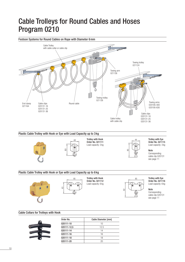### Cable Trolleys for Round Cables and Hoses Program 0210



#### Cable Collars for Trolleys with Hook

| Order No.   | Cable Diameter [mm] |
|-------------|---------------------|
| 020111-10   | 10                  |
| 020111-12,5 | 12.5                |
| 020111-14   | 14                  |
| 020111-16   | 16                  |
| 020111-18   | 18                  |
| 020111-20   | 20                  |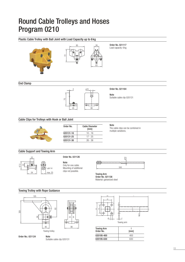### Round Cable Trolleys and Hoses Program 0210

Plastic Cable Trolley with Ball Joint with Load Capacity up to 6 kg



020195-630 630

Suitable cable clip 020131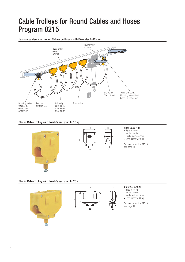### Cable Trolleys for Round Cables and Hoses Program 0215

#### Festoon Systems for Round Cables on Ropes with Diameter 8-12mm Towing trolley 021611 Cable trolley 021621  $\overline{\bullet}$ 021622 Towing arm 021531 End clamp 020214-080 (Mounting holes drilled during the installation) Mounting plates End clamp Round cable Cable clips 020190-12 020214-080 020131-16 020190-16 020131-25 020190-20 020131-36

#### Plastic Cable Trolley with Load Capacity up to 10 kg





- Type of roller: - roller: plastic - axle: stainless steel
- Load capacity: 10 kg

Suitable cable clips 020131 see page 11

#### Plastic Cable Trolley with Load Capacity up to 20 k





- 
- Type of roller:
- roller: plastic
- axle: stainless steel
- Load capacity: 20 kg

Suitable cable clips 020131 see page 11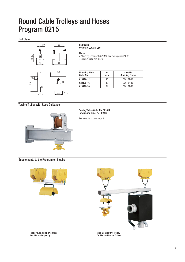### Round Cable Trolleys and Hoses Program 0215

#### End Clamp



60 ø 7

ø d

#### End Clamp

Order No. 020214-080

#### Notes

• Mounting under plate 020190 and towing arm 021531

• Suitable cable clip 020131

| <b>Mounting Plate</b><br>Order No. | ød<br>[mm] | Suitable<br><b>Straining Screw</b> |
|------------------------------------|------------|------------------------------------|
| 020190-12                          | 13         | 020187-12                          |
| 020190-16                          | 17         | 020187-16                          |
| 020190-20                          | 21         | 020187-20                          |

Towing Trolley with Rope Guidance

20

45

115



#### Towing Trolley Order No. 021611 Towing Arm Order No. 021531

For more details see page 9

#### Supplements to the Program on Inquiry





Trolley running on two ropes Double load capacity

Ideal Control Unit Trolley for Flat and Round Cables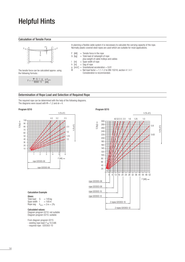### Helpful Hints

#### Calculation of Tensile Force



In planning a flexible cable system it is neccessary to calculate the carrying capacity of the rope. Normally plastic covered steel ropes are used which are suitable for most applications.

- $F$  [kN] = Tensile force in the rope<br>G [kg] = Total load of netweight o  $=$  Total load of netweight of rope
	- plus weight of cable trolleys and cables
	-
- $\begin{array}{rcl} \n\text{I} & \text{[m]} & = \text{Span width of rope} \\
\text{h} & \text{[m]} & = \text{Sag of rope}\n\end{array}$ h  $[m]$  = Sag of rope
- $g$  [m/s<sup>2</sup>] = Gravitational acceleration = 9.81
- $=$  Net load factor  $= 1.1 1.2$  to DIN 15018, section 4.1.4.1

The tensile force can be calculated approx. using  $\begin{array}{rcl} \n\Phi & = & \text{Net load factor} = 1.1-1.2 \text{ to DIN} \\ \n\text{Consideration is recommended.} \n\end{array}$ the following formula::

$$
F = \frac{\phi \cdot G \cdot I \cdot g}{8000 \cdot h} \leq F_{\text{perm.}}
$$

#### Determination of Rope Load and Selection of Required Rope

The required rope can be determined with the help of the following diagrams. The diagrams were issued with  $\varphi = 1,2$  and  $\vartheta = 4$ .



#### Calculation Example

#### Given:

Total load  $G = 145$  kg Span width  $1 = 100 \text{ m}$ Rope sag  $h_{\text{perm}} = 2 \,\text{m} = 2\%$ 

#### Calculated values:

Diagram program 0210: not suitable Diagram program 0215: suitable

From diagram program 0215

- existing rope load:  $F \approx 10,5$  kN
- required rope : 020303-10

#### Program 0210 Program 0215

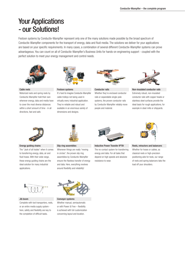### Your Applications - our Solutions!

Festoon systems by Conductix-Wampfler represent only one of the many solutions made possible by the broad spectrum of Conductix-Wampfler components for the transport of energy, data and fluid media. The solutions we deliver for your applications are based on your specific requirements. In many cases, a combination of several different Conductix-Wampfler systems can prove advantageous. You can count on all of Conductix-Wampfler's Business Units for hands-on engineering support - coupled with the perfect solution to meet your energy management and control needs.



Motorized reels and spring reels by Conductix-Wampfler hold their own wherever energy, data and media have to cover the most diverse distances within a short amount of time - in all directions, fast and safe.



It's hard to imagine Conductix-Wampfler cable trolleys not being used in virtually every industrial application. They're reliable and robust and available in an enormous variety of dimensions and designs.



Whether they're enclosed conductor rails or expandable single-pole systems, the proven conductor rails by Conductix-Wampfler reliably move people and material.



Cable reels **Festoon systems** Conductor rails Conductor rails Non-insulated conductor rails Extremely robust, non-insulated conductor rails with copper heads or stainless steel surfaces provide the ideal basis for rough applications, for example in steel mills or shipyards.



The "Jack of all trades" when it comes to transferring energy, data, air and fluid hoses. With their wide range, these energy guiding chains are the ideal solution for many industrial applications.



Whenever things are really "moving in circles", the proven slip ring assemblies by Conductix-Wampfler ensure the flawless transfer of energy and data. Here, everything revolves around flexibility and reliability!



The no-contact system for transferring energy and data. For all tasks that depend on high speeds and absolute

resistance to wear.



Energy guiding chains Slip ring assemblies Inductive Power Transfer IPT® Reels, retractors and balancers

Whether for hoses or cables, as classical reels or high-precision positioning aids for tools, our range of reels and spring balancers take the load off your shoulders.



Complete with tool transporters, reels, or an entire media supply system here, safety and flexibility are key to the completion of difficult tasks.



Jib boom Conveyor systems

Whether manual, semiautomatic or with Power & Free – flexibility is achieved with full customization concerning layout and location.